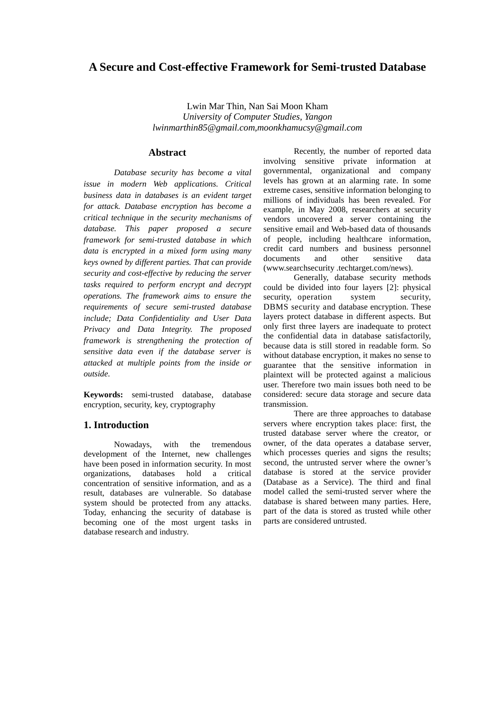## **A Secure and Cost-effective Framework for Semi-trusted Database**

Lwin Mar Thin, Nan Sai Moon Kham *University of Computer Studies, Yangon lwinmarthin85@gmail.com,moonkhamucsy@gmail.com* 

#### **Abstract**

*Database security has become a vital issue in modern Web applications. Critical business data in databases is an evident target for attack. Database encryption has become a critical technique in the security mechanisms of database. This paper proposed a secure framework for semi-trusted database in which data is encrypted in a mixed form using many keys owned by different parties. That can provide security and cost-effective by reducing the server tasks required to perform encrypt and decrypt operations. The framework aims to ensure the requirements of secure semi-trusted database include; Data Confidentiality and User Data Privacy and Data Integrity. The proposed framework is strengthening the protection of sensitive data even if the database server is attacked at multiple points from the inside or outside.* 

**Keywords:** semi-trusted database, database encryption, security, key, cryptography

## **1. Introduction**

Nowadays, with the tremendous development of the Internet, new challenges have been posed in information security. In most organizations, databases hold a critical concentration of sensitive information, and as a result, databases are vulnerable. So database system should be protected from any attacks. Today, enhancing the security of database is becoming one of the most urgent tasks in database research and industry.

Recently, the number of reported data involving sensitive private information at governmental, organizational and company levels has grown at an alarming rate. In some extreme cases, sensitive information belonging to millions of individuals has been revealed. For example, in May 2008, researchers at security vendors uncovered a server containing the sensitive email and Web-based data of thousands of people, including healthcare information, credit card numbers and business personnel documents and other sensitive data (www.searchsecurity .techtarget.com/news).

Generally, database security methods could be divided into four layers [2]: physical security, operation system security, DBMS security and database encryption. These layers protect database in different aspects. But only first three layers are inadequate to protect the confidential data in database satisfactorily, because data is still stored in readable form. So without database encryption, it makes no sense to guarantee that the sensitive information in plaintext will be protected against a malicious user. Therefore two main issues both need to be considered: secure data storage and secure data transmission.

There are three approaches to database servers where encryption takes place: first, the trusted database server where the creator, or owner, of the data operates a database server, which processes queries and signs the results; second, the untrusted server where the owner's database is stored at the service provider (Database as a Service). The third and final model called the semi-trusted server where the database is shared between many parties. Here, part of the data is stored as trusted while other parts are considered untrusted.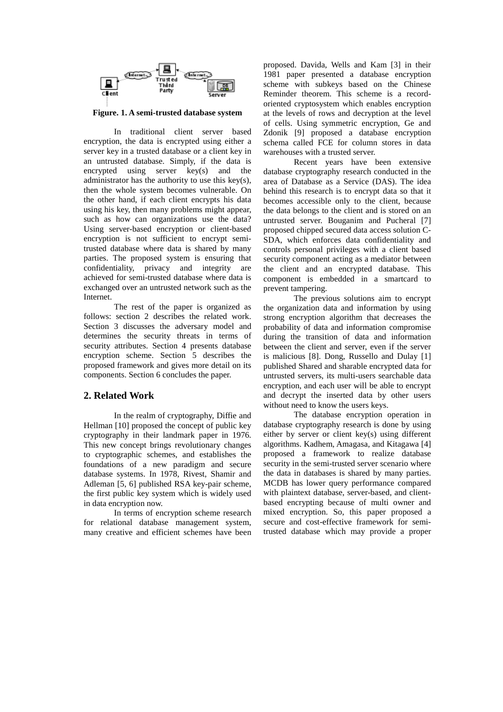

**Figure. 1. A semi-trusted database system** 

In traditional client server based encryption, the data is encrypted using either a server key in a trusted database or a client key in an untrusted database. Simply, if the data is encrypted using server key(s) and the administrator has the authority to use this key(s), then the whole system becomes vulnerable. On the other hand, if each client encrypts his data using his key, then many problems might appear, such as how can organizations use the data? Using server-based encryption or client-based encryption is not sufficient to encrypt semitrusted database where data is shared by many parties. The proposed system is ensuring that confidentiality, privacy and integrity are achieved for semi-trusted database where data is exchanged over an untrusted network such as the Internet.

The rest of the paper is organized as follows: section 2 describes the related work. Section 3 discusses the adversary model and determines the security threats in terms of security attributes. Section 4 presents database encryption scheme. Section 5 describes the proposed framework and gives more detail on its components. Section 6 concludes the paper.

## **2. Related Work**

In the realm of cryptography, Diffie and Hellman [10] proposed the concept of public key cryptography in their landmark paper in 1976. This new concept brings revolutionary changes to cryptographic schemes, and establishes the foundations of a new paradigm and secure database systems. In 1978, Rivest, Shamir and Adleman [5, 6] published RSA key-pair scheme, the first public key system which is widely used in data encryption now.

In terms of encryption scheme research for relational database management system, many creative and efficient schemes have been proposed. Davida, Wells and Kam [3] in their 1981 paper presented a database encryption scheme with subkeys based on the Chinese Reminder theorem. This scheme is a recordoriented cryptosystem which enables encryption at the levels of rows and decryption at the level of cells. Using symmetric encryption, Ge and Zdonik [9] proposed a database encryption schema called FCE for column stores in data warehouses with a trusted server.

Recent years have been extensive database cryptography research conducted in the area of Database as a Service (DAS). The idea behind this research is to encrypt data so that it becomes accessible only to the client, because the data belongs to the client and is stored on an untrusted server. Bouganim and Pucheral [7] proposed chipped secured data access solution C-SDA, which enforces data confidentiality and controls personal privileges with a client based security component acting as a mediator between the client and an encrypted database. This component is embedded in a smartcard to prevent tampering.

The previous solutions aim to encrypt the organization data and information by using strong encryption algorithm that decreases the probability of data and information compromise during the transition of data and information between the client and server, even if the server is malicious [8]. Dong, Russello and Dulay [1] published Shared and sharable encrypted data for untrusted servers, its multi-users searchable data encryption, and each user will be able to encrypt and decrypt the inserted data by other users without need to know the users keys.

The database encryption operation in database cryptography research is done by using either by server or client key(s) using different algorithms. Kadhem, Amagasa, and Kitagawa [4] proposed a framework to realize database security in the semi-trusted server scenario where the data in databases is shared by many parties. MCDB has lower query performance compared with plaintext database, server-based, and clientbased encrypting because of multi owner and mixed encryption. So, this paper proposed a secure and cost-effective framework for semitrusted database which may provide a proper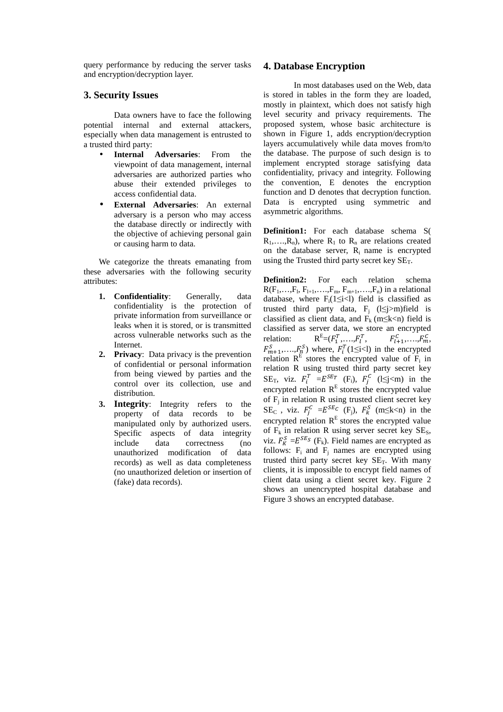query performance by reducing the server tasks and encryption/decryption layer.

## **3. Security Issues**

Data owners have to face the following potential internal and external attackers, especially when data management is entrusted to a trusted third party:

- **Internal Adversaries**: From the viewpoint of data management, internal adversaries are authorized parties who abuse their extended privileges to access confidential data.
- **External Adversaries**: An external adversary is a person who may access the database directly or indirectly with the objective of achieving personal gain or causing harm to data.

We categorize the threats emanating from these adversaries with the following security attributes:

- **1. Confidentiality**: Generally, data confidentiality is the protection of private information from surveillance or leaks when it is stored, or is transmitted across vulnerable networks such as the Internet.
- **2. Privacy**: Data privacy is the prevention of confidential or personal information from being viewed by parties and the control over its collection, use and distribution.
- **3. Integrity**: Integrity refers to the property of data records to be manipulated only by authorized users. Specific aspects of data integrity include data correctness (no unauthorized modification of data records) as well as data completeness (no unauthorized deletion or insertion of (fake) data records).

## **4. Database Encryption**

In most databases used on the Web, data is stored in tables in the form they are loaded, mostly in plaintext, which does not satisfy high level security and privacy requirements. The proposed system, whose basic architecture is shown in Figure 1, adds encryption/decryption layers accumulatively while data moves from/to the database. The purpose of such design is to implement encrypted storage satisfying data confidentiality, privacy and integrity. Following the convention, E denotes the encryption function and D denotes that decryption function. Data is encrypted using symmetric and asymmetric algorithms.

**Definition1:** For each database schema S(  $R_1, \ldots, R_n$ , where  $R_1$  to  $R_n$  are relations created on the database server,  $R_i$  name is encrypted using the Trusted third party secret key  $SE_T$ .

**Definition2:** For each relation schema  $R(F_1, \ldots, F_l, F_{l+1}, \ldots, F_m, F_{m+1}, \ldots, F_n)$  in a relational database, where  $F_i(1 \leq i < l)$  field is classified as trusted third party data,  $F_j$  (l≤j>m)field is classified as client data, and  $F_k$  (m≤k<n) field is classified as server data, we store an encrypted relation:  $R^{E} = (F_1^T, ..., F_l^T, \t F_{l+1}^C, ..., F_m^C,$  $F_{m+1}^S, \ldots, F_{n}^S$  where,  $F_i^T(1 \leq i < l)$  in the encrypted relation  $R<sup>E</sup>$  stores the encrypted value of  $F<sub>i</sub>$  in relation R using trusted third party secret key SE<sub>T</sub>, viz.  $F_i^T = E^{SE_T}$  (F<sub>i</sub>),  $F_j^C$  (1≤j<m) in the encrypted relation  $R<sup>E</sup>$  stores the encrypted value of  $F_j$  in relation R using trusted client secret key SE<sub>C</sub>, viz.  $F_j^C = E^{SE_C}$  (F<sub>j</sub>),  $F_k^S$  (m
lessilve) in the encrypted relation  $R<sup>E</sup>$  stores the encrypted value of  $F_k$  in relation R using server secret key  $SE_s$ , viz.  $F_K^S = E^{SE_S}$  (F<sub>k</sub>). Field names are encrypted as follows:  $F_i$  and  $F_j$  names are encrypted using trusted third party secret key  $SE_T$ . With many clients, it is impossible to encrypt field names of client data using a client secret key. Figure 2 shows an unencrypted hospital database and Figure 3 shows an encrypted database.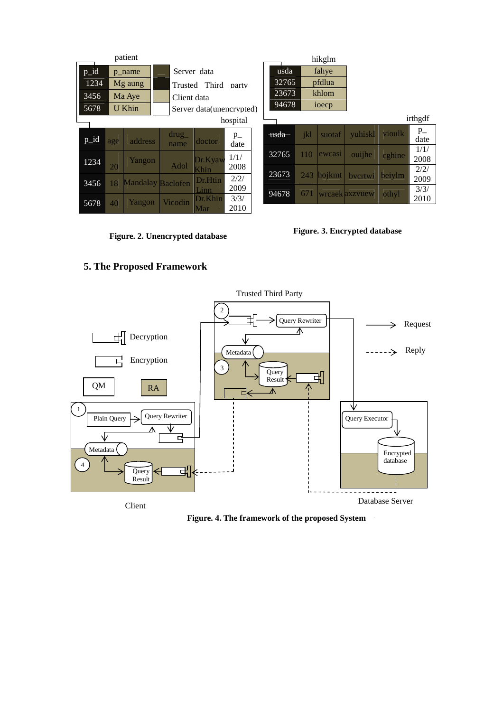| patient |          |                          |               |                           |                 |  |       |      | hikglm  |                |        |                 |
|---------|----------|--------------------------|---------------|---------------------------|-----------------|--|-------|------|---------|----------------|--------|-----------------|
| $p_id$  |          | p_name                   | Server data   |                           |                 |  | usda  |      | fahye   |                |        |                 |
| 1234    |          | Mg aung                  |               | Trusted Third<br>party    |                 |  | 32765 |      | pfdlua  |                |        |                 |
| 3456    | Ma Aye   |                          |               | Client data               |                 |  | 23673 |      | khlom   |                |        |                 |
| 5678    | U Khin   |                          |               | Server data (unencrypted) |                 |  | 94678 |      | ioecp   |                |        |                 |
|         | hospital |                          |               |                           |                 |  |       |      |         |                |        | irthgdf         |
| p_id    | age      | address                  | drug_<br>name | doctor                    | $p_{-}$<br>date |  | usda  | -ikl | suotaf  | yuhiskl        | vioulk | $p_{-}$<br>date |
| 1234    |          | Yangon                   |               | Dr.Kyaw                   | 1/1/            |  | 32765 | 110  | lewcasi | ouijhe         | cghine | 1/1/<br>2008    |
|         | 20       |                          | Adol          | Khin                      | 2008            |  | 23673 | 243  | hojkmt  | bvcrtwi        | beiylm | 2/2/            |
| 3456    | 18       | <b>Mandalay Baclofen</b> |               | <b>Dr.Htin</b>            | 2/2/<br>2009    |  |       |      |         |                |        | 2009            |
| 5678    | 40       | Yangon                   | Vicodin       | Linn<br>Dr.Khin           | 3/3/            |  | 94678 | 671  |         | wrcaek axzvuew | othyl  | 3/3/<br>2010    |
|         |          |                          |               | Mar                       | 2010            |  |       |      |         |                |        |                 |

**Figure. 2. Unencrypted database** 

**Figure. 3. Encrypted database** 

# **5. The Proposed Framework**



Figure. 4. The framework of the proposed System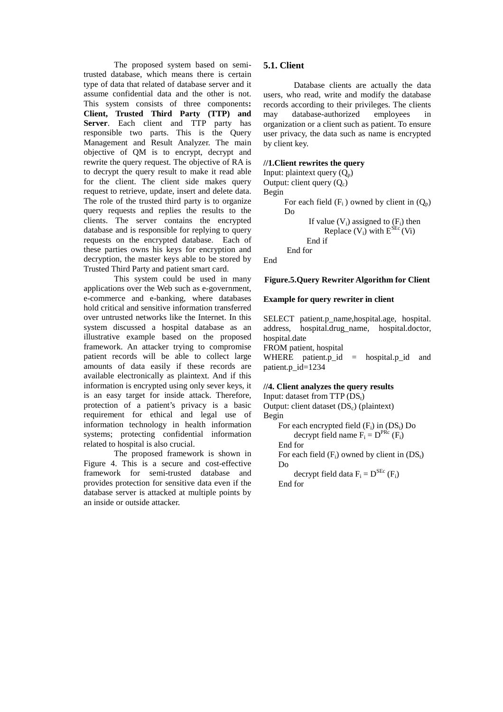The proposed system based on semitrusted database, which means there is certain type of data that related of database server and it assume confidential data and the other is not. This system consists of three components**: Client, Trusted Third Party (TTP) and Server**. Each client and TTP party has responsible two parts. This is the Query Management and Result Analyzer. The main objective of QM is to encrypt, decrypt and rewrite the query request. The objective of RA is to decrypt the query result to make it read able for the client. The client side makes query request to retrieve, update, insert and delete data. The role of the trusted third party is to organize query requests and replies the results to the clients. The server contains the encrypted database and is responsible for replying to query requests on the encrypted database. Each of these parties owns his keys for encryption and decryption, the master keys able to be stored by Trusted Third Party and patient smart card.

This system could be used in many applications over the Web such as e-government, e-commerce and e-banking, where databases hold critical and sensitive information transferred over untrusted networks like the Internet. In this system discussed a hospital database as an illustrative example based on the proposed framework. An attacker trying to compromise patient records will be able to collect large amounts of data easily if these records are available electronically as plaintext. And if this information is encrypted using only sever keys, it is an easy target for inside attack. Therefore, protection of a patient's privacy is a basic requirement for ethical and legal use of information technology in health information systems; protecting confidential information related to hospital is also crucial.

The proposed framework is shown in Figure 4. This is a secure and cost-effective framework for semi-trusted database and provides protection for sensitive data even if the database server is attacked at multiple points by an inside or outside attacker.

## **5.1. Client**

Database clients are actually the data users, who read, write and modify the database records according to their privileges. The clients may database-authorized employees in organization or a client such as patient. To ensure user privacy, the data such as name is encrypted by client key.

## **//1.Client rewrites the query**

```
Input: plaintext query (Q_n)Output: client query (O_c)Begin 
      For each field (F_i) owned by client in (O_n)Do 
              If value (V_i) assigned to (F_i) then
                   Replace (V_i) with E^{SE}(V_i) End if 
        End for
```
End

#### **Figure.5.Query Rewriter Algorithm for Client**

#### **Example for query rewriter in client**

SELECT patient.p\_name,hospital.age, hospital. address, hospital.drug\_name, hospital.doctor, hospital.date FROM patient, hospital WHERE patient.p\_id = hospital.p\_id and patient.p\_id=1234

#### **//4. Client analyzes the query results**  Input: dataset from  $TTP (DS<sub>t</sub>)$

Output: client dataset  $(DS<sub>c</sub>)$  (plaintext) Begin

```
For each encrypted field (F_i) in (DS_i) Do
         decrypt field name F_i = D^{PRc} (F_i) End for 
    For each field (F_i) owned by client in (DS_i) Do 
decrypt field data F_i = D^{SEC} (F_i)
```
End for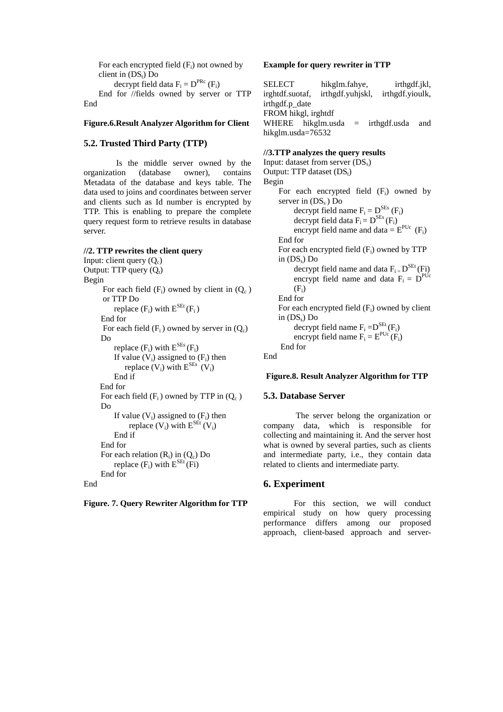For each encrypted field  $(F_i)$  not owned by client in  $(DS_t)$  Do

decrypt field data  $F_i = D^{PRc} (F_i)$ 

 End for //fields owned by server or TTP End

#### **Figure.6.Result Analyzer Algorithm for Client**

## **5.2. Trusted Third Party (TTP)**

 Is the middle server owned by the organization (database owner), contains Metadata of the database and keys table. The data used to joins and coordinates between server and clients such as Id number is encrypted by TTP. This is enabling to prepare the complete query request form to retrieve results in database server.

#### **//2. TTP rewrites the client query**

Input: client query  $(Q_c)$ Output: TTP query  $(Q_t)$ Begin For each field  $(F_i)$  owned by client in  $(O_c)$ or TTP Do replace  $(F_i)$  with  $E^{SEt}(F_i)$  End for For each field  $(F_i)$  owned by server in  $(Q_c)$  Do replace  $(F_i)$  with  $E^{SEs}(F_i)$ If value  $(\tilde{V}_i)$  assigned to  $(F_i)$  then replace  $(V_i)$  with  $E^{SEs}$   $(V_i)$ End if End for For each field  $(F_i)$  owned by TTP in  $(Q_c)$  Do If value  $(V_i)$  assigned to  $(F_i)$  then replace  $(V_i)$  with  $E^{SEt} (V_i)$ End if End for For each relation  $(R_i)$  in  $(Q_c)$  Do replace  $(F_i)$  with  $E^{SEt}(Fi)$  End for End

**Figure. 7. Query Rewriter Algorithm for TTP** 

#### **Example for query rewriter in TTP**

SELECT hikglm.fahye, irthgdf.jkl, irghtdf.suotaf, irthgdf.yuhjskl, irthgdf.yioulk, irthgdf.p\_date FROM hikgl, irghtdf WHERE hikglm.usda = irthgdf.usda and hikglm.usda=76532

## **//3.TTP analyzes the query results**

```
Input: dataset from server (DS_s)Output: TTP dataset (DS_t)Begin 
    For each encrypted field (F_i) owned by
    server in (DS_s) Do
decrypt field name F_i = D^{SEs} (F_i)decrypt field data F_i = D^{SEs} (F_i)encrypt field name and data = E^{PUC} (F<sub>i</sub>)
     End for 
    For each encrypted field (F_i) owned by TTP
    in (DS<sub>s</sub>) Do
decrypt field name and data F_i = D^{SEt} (Fi)encrypt field name and data F_i = D^{PUC}(F_i) End for 
    For each encrypted field (F_i) owned by client
    in (DS<sub>s</sub>) Do
decrypt field name F_i = D^{SEt}(F_i)encrypt field name F_i = E^{PUC}(F_i) End for 
End
```
#### **Figure.8. Result Analyzer Algorithm for TTP**

#### **5.3. Database Server**

 The server belong the organization or company data, which is responsible for collecting and maintaining it. And the server host what is owned by several parties, such as clients and intermediate party, i.e., they contain data related to clients and intermediate party.

#### **6. Experiment**

 For this section, we will conduct empirical study on how query processing performance differs among our proposed approach, client-based approach and server